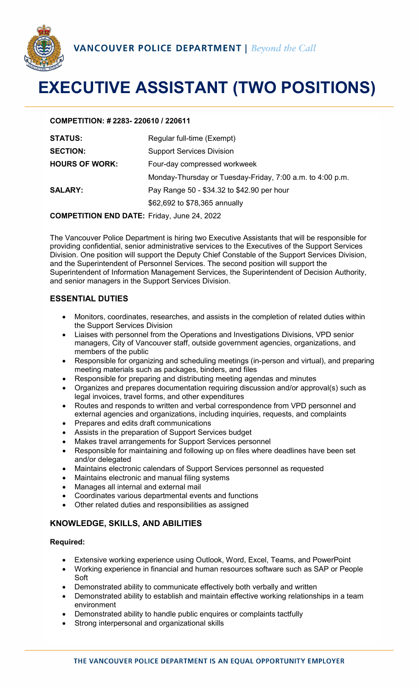

# **EXECUTIVE ASSISTANT (TWO POSITIONS)**

#### **COMPETITION: # 2283- 220610 / 220611**

| <b>STATUS:</b>        | Regular full-time (Exempt)                                |
|-----------------------|-----------------------------------------------------------|
| <b>SECTION:</b>       | <b>Support Services Division</b>                          |
| <b>HOURS OF WORK:</b> | Four-day compressed workweek                              |
|                       | Monday-Thursday or Tuesday-Friday, 7:00 a.m. to 4:00 p.m. |
| <b>SALARY:</b>        | Pay Range 50 - \$34.32 to \$42.90 per hour                |
|                       | \$62,692 to \$78,365 annually                             |
|                       |                                                           |

**COMPETITION END DATE:** Friday, June 24, 2022

The Vancouver Police Department is hiring two Executive Assistants that will be responsible for providing confidential, senior administrative services to the Executives of the Support Services Division. One position will support the Deputy Chief Constable of the Support Services Division, and the Superintendent of Personnel Services. The second position will support the Superintendent of Information Management Services, the Superintendent of Decision Authority, and senior managers in the Support Services Division.

## **ESSENTIAL DUTIES**

- Monitors, coordinates, researches, and assists in the completion of related duties within the Support Services Division
- Liaises with personnel from the Operations and Investigations Divisions, VPD senior managers, City of Vancouver staff, outside government agencies, organizations, and members of the public
- Responsible for organizing and scheduling meetings (in-person and virtual), and preparing meeting materials such as packages, binders, and files
- Responsible for preparing and distributing meeting agendas and minutes
- Organizes and prepares documentation requiring discussion and/or approval(s) such as legal invoices, travel forms, and other expenditures
- Routes and responds to written and verbal correspondence from VPD personnel and external agencies and organizations, including inquiries, requests, and complaints
- Prepares and edits draft communications
- Assists in the preparation of Support Services budget
- Makes travel arrangements for Support Services personnel
- Responsible for maintaining and following up on files where deadlines have been set and/or delegated
- Maintains electronic calendars of Support Services personnel as requested
- Maintains electronic and manual filing systems
- Manages all internal and external mail
- Coordinates various departmental events and functions
- Other related duties and responsibilities as assigned

## **KNOWLEDGE, SKILLS, AND ABILITIES**

#### **Required:**

- Extensive working experience using Outlook, Word, Excel, Teams, and PowerPoint
- Working experience in financial and human resources software such as SAP or People Soft
- Demonstrated ability to communicate effectively both verbally and written
- Demonstrated ability to establish and maintain effective working relationships in a team environment
- Demonstrated ability to handle public enquires or complaints tactfully
- Strong interpersonal and organizational skills